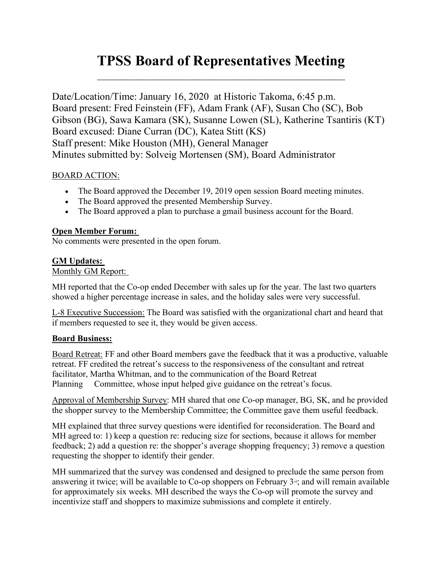# TPSS Board of Representatives Meeting  $\mathcal{L}_\text{max}$  , and the contract of the contract of the contract of the contract of the contract of the contract of the contract of the contract of the contract of the contract of the contract of the contract of the contr

Date/Location/Time: January 16, 2020 at Historic Takoma, 6:45 p.m. Board present: Fred Feinstein (FF), Adam Frank (AF), Susan Cho (SC), Bob Gibson (BG), Sawa Kamara (SK), Susanne Lowen (SL), Katherine Tsantiris (KT) Board excused: Diane Curran (DC), Katea Stitt (KS) Staff present: Mike Houston (MH), General Manager Minutes submitted by: Solveig Mortensen (SM), Board Administrator

## BOARD ACTION:

- The Board approved the December 19, 2019 open session Board meeting minutes.
- The Board approved the presented Membership Survey.
- The Board approved a plan to purchase a gmail business account for the Board.

## Open Member Forum:

No comments were presented in the open forum.

# GM Updates:

# Monthly GM Report:

MH reported that the Co-op ended December with sales up for the year. The last two quarters showed a higher percentage increase in sales, and the holiday sales were very successful.

L-8 Executive Succession: The Board was satisfied with the organizational chart and heard that if members requested to see it, they would be given access.

# Board Business:

Board Retreat: FF and other Board members gave the feedback that it was a productive, valuable retreat. FF credited the retreat's success to the responsiveness of the consultant and retreat facilitator, Martha Whitman, and to the communication of the Board Retreat Planning Committee, whose input helped give guidance on the retreat's focus.

Approval of Membership Survey: MH shared that one Co-op manager, BG, SK, and he provided the shopper survey to the Membership Committee; the Committee gave them useful feedback.

MH explained that three survey questions were identified for reconsideration. The Board and MH agreed to: 1) keep a question re: reducing size for sections, because it allows for member feedback; 2) add a question re: the shopper's average shopping frequency; 3) remove a question requesting the shopper to identify their gender.

MH summarized that the survey was condensed and designed to preclude the same person from answering it twice; will be available to Co-op shoppers on February  $3<sup>a</sup>$ ; and will remain available for approximately six weeks. MH described the ways the Co-op will promote the survey and incentivize staff and shoppers to maximize submissions and complete it entirely.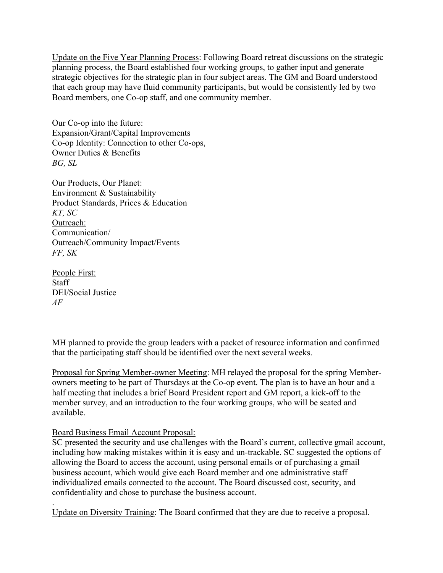Update on the Five Year Planning Process: Following Board retreat discussions on the strategic planning process, the Board established four working groups, to gather input and generate strategic objectives for the strategic plan in four subject areas. The GM and Board understood that each group may have fluid community participants, but would be consistently led by two Board members, one Co-op staff, and one community member.

Our Co-op into the future: Expansion/Grant/Capital Improvements Co-op Identity: Connection to other Co-ops, Owner Duties & Benefits BG, SL

Our Products, Our Planet: Environment & Sustainability Product Standards, Prices & Education KT, SC Outreach: Communication/ Outreach/Community Impact/Events FF, SK

People First: Staff DEI/Social Justice AF

MH planned to provide the group leaders with a packet of resource information and confirmed that the participating staff should be identified over the next several weeks.

Proposal for Spring Member-owner Meeting: MH relayed the proposal for the spring Memberowners meeting to be part of Thursdays at the Co-op event. The plan is to have an hour and a half meeting that includes a brief Board President report and GM report, a kick-off to the member survey, and an introduction to the four working groups, who will be seated and available.

#### Board Business Email Account Proposal:

SC presented the security and use challenges with the Board's current, collective gmail account, including how making mistakes within it is easy and un-trackable. SC suggested the options of allowing the Board to access the account, using personal emails or of purchasing a gmail business account, which would give each Board member and one administrative staff individualized emails connected to the account. The Board discussed cost, security, and confidentiality and chose to purchase the business account.

. Update on Diversity Training: The Board confirmed that they are due to receive a proposal.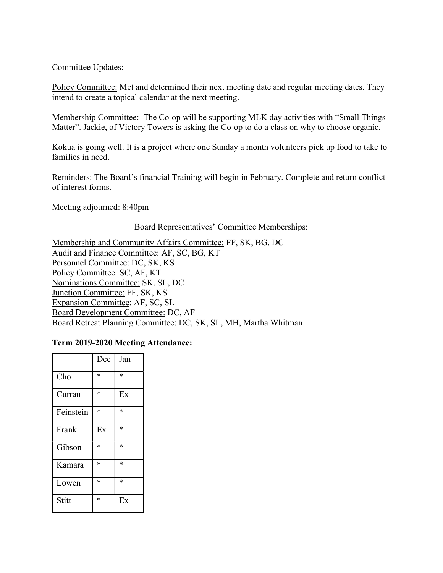## Committee Updates:

Policy Committee: Met and determined their next meeting date and regular meeting dates. They intend to create a topical calendar at the next meeting.

Membership Committee: The Co-op will be supporting MLK day activities with "Small Things Matter". Jackie, of Victory Towers is asking the Co-op to do a class on why to choose organic.

Kokua is going well. It is a project where one Sunday a month volunteers pick up food to take to families in need.

Reminders: The Board's financial Training will begin in February. Complete and return conflict of interest forms.

Meeting adjourned: 8:40pm

#### Board Representatives' Committee Memberships:

Membership and Community Affairs Committee: FF, SK, BG, DC Audit and Finance Committee: AF, SC, BG, KT Personnel Committee: DC, SK, KS Policy Committee: SC, AF, KT Nominations Committee: SK, SL, DC Junction Committee: FF, SK, KS Expansion Committee: AF, SC, SL Board Development Committee: DC, AF Board Retreat Planning Committee: DC, SK, SL, MH, Martha Whitman

#### Term 2019-2020 Meeting Attendance:

|           | Dec    | Jan    |
|-----------|--------|--------|
| Cho       | $\ast$ | $\ast$ |
| Curran    | $\ast$ | Ex     |
| Feinstein | $\ast$ | $\ast$ |
| Frank     | Ex     | $\ast$ |
| Gibson    | $\ast$ | *      |
| Kamara    | $\ast$ | $\ast$ |
| Lowen     | $\ast$ | $\ast$ |
| Stitt     | $\ast$ | Ex     |